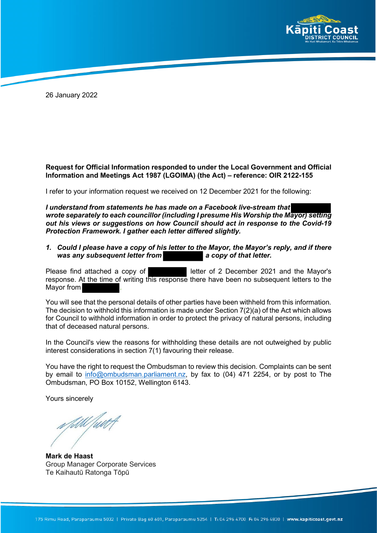

26 January 2022

## **Request for Official Information responded to under the Local Government and Official Information and Meetings Act 1987 (LGOIMA) (the Act) – reference: OIR 2122-155**

I refer to your information request we received on 12 December 2021 for the following:

*I understand from statements he has made on a Facebook live-stream that wrote separately to each councillor (including I presume His Worship the Mayor) setting out his views or suggestions on how Council should act in response to the Covid-19 Protection Framework. I gather each letter differed slightly.*

*1. Could I please have a copy of his letter to the Mayor, the Mayor's reply, and if there* was any subsequent letter from **a** a copy of that letter.

Please find attached a copy of **letter of 2 December 2021** and the Mayor's response. At the time of writing this response there have been no subsequent letters to the Mayor from **.** 

You will see that the personal details of other parties have been withheld from this information. The decision to withhold this information is made under Section 7(2)(a) of the Act which allows for Council to withhold information in order to protect the privacy of natural persons, including that of deceased natural persons.

In the Council's view the reasons for withholding these details are not outweighed by public interest considerations in section 7(1) favouring their release.

You have the right to request the Ombudsman to review this decision. Complaints can be sent by email to info@ombudsman.parliament.nz, by fax to (04) 471 2254, or by post to The Ombudsman, PO Box 10152, Wellington 6143.

Yours sincerely

**Mark de Haast** Group Manager Corporate Services Te Kaihautū Ratonga Tōpū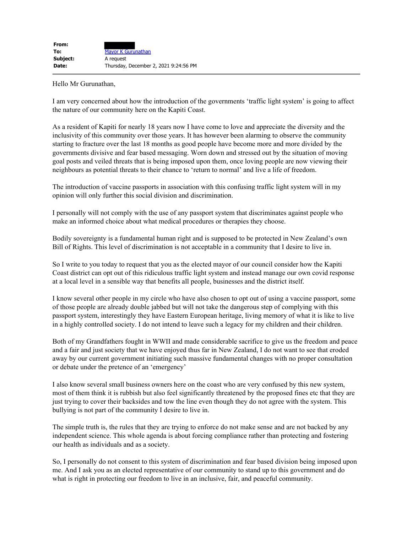Hello Mr Gurunathan,

I am very concerned about how the introduction of the governments 'traffic light system' is going to affect the nature of our community here on the Kapiti Coast.

As a resident of Kapiti for nearly 18 years now I have come to love and appreciate the diversity and the inclusivity of this community over those years. It has however been alarming to observe the community starting to fracture over the last 18 months as good people have become more and more divided by the governments divisive and fear based messaging. Worn down and stressed out by the situation of moving goal posts and veiled threats that is being imposed upon them, once loving people are now viewing their neighbours as potential threats to their chance to 'return to normal' and live a life of freedom.

The introduction of vaccine passports in association with this confusing traffic light system will in my opinion will only further this social division and discrimination.

I personally will not comply with the use of any passport system that discriminates against people who make an informed choice about what medical procedures or therapies they choose.

Bodily sovereignty is a fundamental human right and is supposed to be protected in New Zealand's own Bill of Rights. This level of discrimination is not acceptable in a community that I desire to live in.

So I write to you today to request that you as the elected mayor of our council consider how the Kapiti Coast district can opt out of this ridiculous traffic light system and instead manage our own covid response at a local level in a sensible way that benefits all people, businesses and the district itself.

I know several other people in my circle who have also chosen to opt out of using a vaccine passport, some of those people are already double jabbed but will not take the dangerous step of complying with this passport system, interestingly they have Eastern European heritage, living memory of what it is like to live in a highly controlled society. I do not intend to leave such a legacy for my children and their children.

Both of my Grandfathers fought in WWII and made considerable sacrifice to give us the freedom and peace and a fair and just society that we have enjoyed thus far in New Zealand, I do not want to see that eroded away by our current government initiating such massive fundamental changes with no proper consultation or debate under the pretence of an 'emergency'

I also know several small business owners here on the coast who are very confused by this new system, most of them think it is rubbish but also feel significantly threatened by the proposed fines etc that they are just trying to cover their backsides and tow the line even though they do not agree with the system. This bullying is not part of the community I desire to live in.

The simple truth is, the rules that they are trying to enforce do not make sense and are not backed by any independent science. This whole agenda is about forcing compliance rather than protecting and fostering our health as individuals and as a society.

So, I personally do not consent to this system of discrimination and fear based division being imposed upon me. And I ask you as an elected representative of our community to stand up to this government and do what is right in protecting our freedom to live in an inclusive, fair, and peaceful community.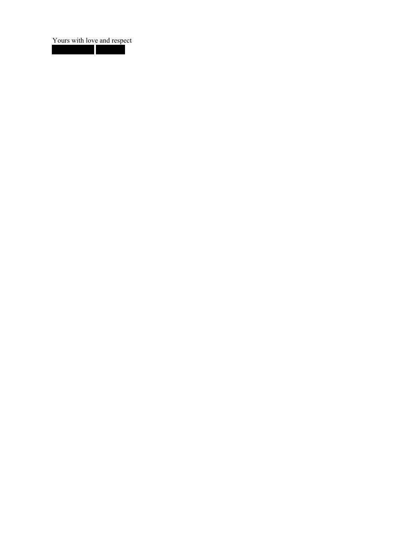Yours with love and respect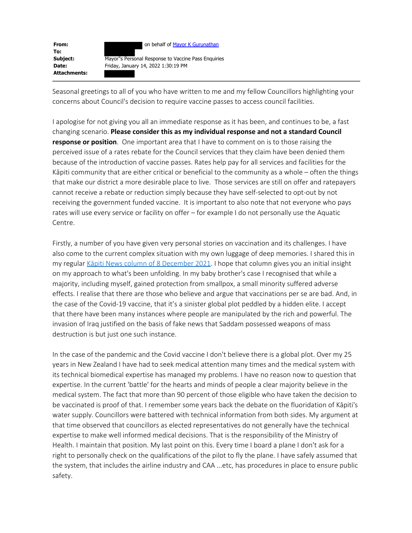

**To: Attachments:**

**Subject:** Mayor''s Personal Response to Vaccine Pass Enquiries **Date:** Friday, January 14, 2022 1:30:19 PM

Seasonal greetings to all of you who have written to me and my fellow Councillors highlighting your concerns about Council's decision to require vaccine passes to access council facilities.

I apologise for not giving you all an immediate response as it has been, and continues to be, a fast changing scenario. **Please consider this as my individual response and not a standard Council response or position**. One important area that I have to comment on is to those raising the perceived issue of a rates rebate for the Council services that they claim have been denied them because of the introduction of vaccine passes. Rates help pay for all services and facilities for the Kāpiti community that are either critical or beneficial to the community as a whole – often the things that make our district a more desirable place to live. Those services are still on offer and ratepayers cannot receive a rebate or reduction simply because they have self-selected to opt-out by not receiving the government funded vaccine. It is important to also note that not everyone who pays rates will use every service or facility on offer – for example I do not personally use the Aquatic Centre.

Firstly, a number of you have given very personal stories on vaccination and its challenges. I have also come to the current complex situation with my own luggage of deep memories. I shared this in my regular Kāpiti News column of 8 December 2021. I hope that column gives you an initial insight on my approach to what's been unfolding. In my baby brother's case I recognised that while a majority, including myself, gained protection from smallpox, a small minority suffered adverse effects. I realise that there are those who believe and argue that vaccinations per se are bad. And, in the case of the Covid-19 vaccine, that it's a sinister global plot peddled by a hidden elite. I accept that there have been many instances where people are manipulated by the rich and powerful. The invasion of Iraq justified on the basis of fake news that Saddam possessed weapons of mass destruction is but just one such instance.

In the case of the pandemic and the Covid vaccine I don't believe there is a global plot. Over my 25 years in New Zealand I have had to seek medical attention many times and the medical system with its technical biomedical expertise has managed my problems. I have no reason now to question that expertise. In the current 'battle' for the hearts and minds of people a clear majority believe in the medical system. The fact that more than 90 percent of those eligible who have taken the decision to be vaccinated is proof of that. I remember some years back the debate on the fluoridation of Kāpiti's water supply. Councillors were battered with technical information from both sides. My argument at that time observed that councillors as elected representatives do not generally have the technical expertise to make well informed medical decisions. That is the responsibility of the Ministry of Health. I maintain that position. My last point on this. Every time I board a plane I don't ask for a right to personally check on the qualifications of the pilot to fly the plane. I have safely assumed that the system, that includes the airline industry and CAA ...etc, has procedures in place to ensure public safety.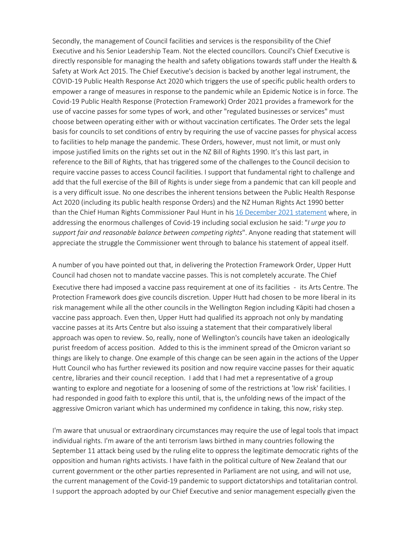Secondly, the management of Council facilities and services is the responsibility of the Chief Executive and his Senior Leadership Team. Not the elected councillors. Council's Chief Executive is directly responsible for managing the health and safety obligations towards staff under the Health & Safety at Work Act 2015. The Chief Executive's decision is backed by another legal instrument, the COVID-19 Public Health Response Act 2020 which triggers the use of specific public health orders to empower a range of measures in response to the pandemic while an Epidemic Notice is in force. The Covid-19 Public Health Response (Protection Framework) Order 2021 provides a framework for the use of vaccine passes for some types of work, and other "regulated businesses or services" must choose between operating either with or without vaccination certificates. The Order sets the legal basis for councils to set conditions of entry by requiring the use of vaccine passes for physical access to facilities to help manage the pandemic. These Orders, however, must not limit, or must only impose justified limits on the rights set out in the NZ Bill of Rights 1990. It's this last part, in reference to the Bill of Rights, that has triggered some of the challenges to the Council decision to require vaccine passes to access Council facilities. I support that fundamental right to challenge and add that the full exercise of the Bill of Rights is under siege from a pandemic that can kill people and is a very difficult issue. No one describes the inherent tensions between the Public Health Response Act 2020 (including its public health response Orders) and the NZ Human Rights Act 1990 better than the Chief Human Rights Commissioner Paul Hunt in his 16 December 2021 statement where, in addressing the enormous challenges of Covid-19 including social exclusion he said: "*I urge you to support fair and reasonable balance between competing rights*". Anyone reading that statement will appreciate the struggle the Commissioner went through to balance his statement of appeal itself.

A number of you have pointed out that, in delivering the Protection Framework Order, Upper Hutt Council had chosen not to mandate vaccine passes. This is not completely accurate. The Chief Executive there had imposed a vaccine pass requirement at one of its facilities - its Arts Centre. The Protection Framework does give councils discretion. Upper Hutt had chosen to be more liberal in its risk management while all the other councils in the Wellington Region including Kāpiti had chosen a vaccine pass approach. Even then, Upper Hutt had qualified its approach not only by mandating vaccine passes at its Arts Centre but also issuing a statement that their comparatively liberal approach was open to review. So, really, none of Wellington's councils have taken an ideologically purist freedom of access position. Added to this is the imminent spread of the Omicron variant so things are likely to change. One example of this change can be seen again in the actions of the Upper Hutt Council who has further reviewed its position and now require vaccine passes for their aquatic centre, libraries and their council reception. I add that I had met a representative of a group wanting to explore and negotiate for a loosening of some of the restrictions at 'low risk' facilities. I had responded in good faith to explore this until, that is, the unfolding news of the impact of the aggressive Omicron variant which has undermined my confidence in taking, this now, risky step.

I'm aware that unusual or extraordinary circumstances may require the use of legal tools that impact individual rights. I'm aware of the anti terrorism laws birthed in many countries following the September 11 attack being used by the ruling elite to oppress the legitimate democratic rights of the opposition and human rights activists. I have faith in the political culture of New Zealand that our current government or the other parties represented in Parliament are not using, and will not use, the current management of the Covid-19 pandemic to support dictatorships and totalitarian control. I support the approach adopted by our Chief Executive and senior management especially given the